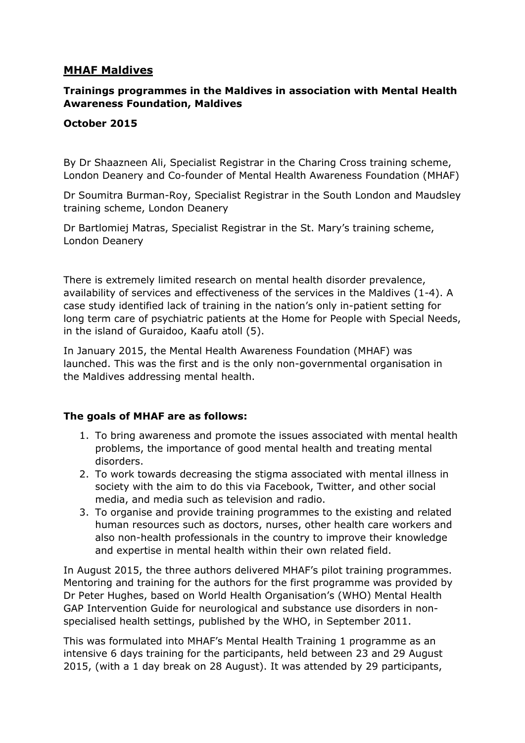# **MHAF Maldives**

# **Trainings programmes in the Maldives in association with Mental Health Awareness Foundation, Maldives**

### **October 2015**

By Dr Shaazneen Ali, Specialist Registrar in the Charing Cross training scheme, London Deanery and Co-founder of Mental Health Awareness Foundation (MHAF)

Dr Soumitra Burman-Roy, Specialist Registrar in the South London and Maudsley training scheme, London Deanery

Dr Bartlomiej Matras, Specialist Registrar in the St. Mary's training scheme, London Deanery

There is extremely limited research on mental health disorder prevalence, availability of services and effectiveness of the services in the Maldives (1-4). A case study identified lack of training in the nation's only in-patient setting for long term care of psychiatric patients at the Home for People with Special Needs, in the island of Guraidoo, Kaafu atoll (5).

In January 2015, the Mental Health Awareness Foundation (MHAF) was launched. This was the first and is the only non-governmental organisation in the Maldives addressing mental health.

### **The goals of MHAF are as follows:**

- 1. To bring awareness and promote the issues associated with mental health problems, the importance of good mental health and treating mental disorders.
- 2. To work towards decreasing the stigma associated with mental illness in society with the aim to do this via Facebook, Twitter, and other social media, and media such as television and radio.
- 3. To organise and provide training programmes to the existing and related human resources such as doctors, nurses, other health care workers and also non-health professionals in the country to improve their knowledge and expertise in mental health within their own related field.

In August 2015, the three authors delivered MHAF's pilot training programmes. Mentoring and training for the authors for the first programme was provided by Dr Peter Hughes, based on World Health Organisation's (WHO) Mental Health GAP Intervention Guide for neurological and substance use disorders in nonspecialised health settings, published by the WHO, in September 2011.

This was formulated into MHAF's Mental Health Training 1 programme as an intensive 6 days training for the participants, held between 23 and 29 August 2015, (with a 1 day break on 28 August). It was attended by 29 participants,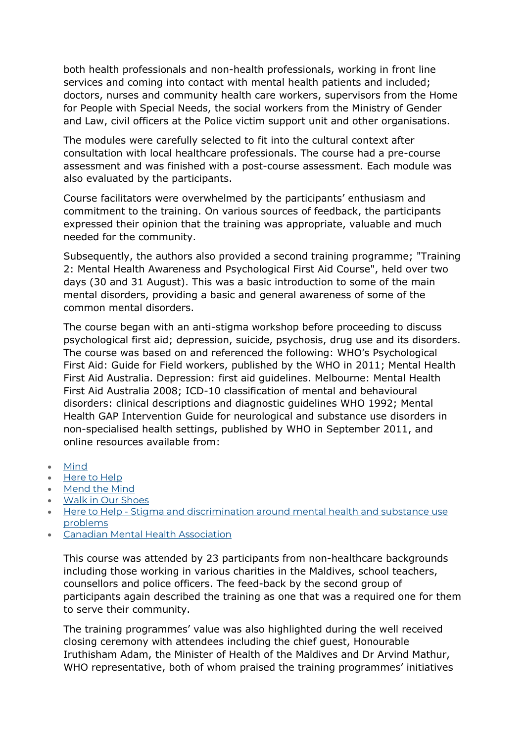both health professionals and non-health professionals, working in front line services and coming into contact with mental health patients and included; doctors, nurses and community health care workers, supervisors from the Home for People with Special Needs, the social workers from the Ministry of Gender and Law, civil officers at the Police victim support unit and other organisations.

The modules were carefully selected to fit into the cultural context after consultation with local healthcare professionals. The course had a pre-course assessment and was finished with a post-course assessment. Each module was also evaluated by the participants.

Course facilitators were overwhelmed by the participants' enthusiasm and commitment to the training. On various sources of feedback, the participants expressed their opinion that the training was appropriate, valuable and much needed for the community.

Subsequently, the authors also provided a second training programme; "Training 2: Mental Health Awareness and Psychological First Aid Course", held over two days (30 and 31 August). This was a basic introduction to some of the main mental disorders, providing a basic and general awareness of some of the common mental disorders.

The course began with an anti-stigma workshop before proceeding to discuss psychological first aid; depression, suicide, psychosis, drug use and its disorders. The course was based on and referenced the following: WHO's Psychological First Aid: Guide for Field workers, published by the WHO in 2011; Mental Health First Aid Australia. Depression: first aid guidelines. Melbourne: Mental Health First Aid Australia 2008; ICD-10 classification of mental and behavioural disorders: clinical descriptions and diagnostic guidelines WHO 1992; Mental Health GAP Intervention Guide for neurological and substance use disorders in non-specialised health settings, published by WHO in September 2011, and online resources available from:

- [Mind](http://www.mind.org.uk/)
- [Here to Help](http://www.heretohelp.bc.ca/)
- [Mend the Mind](http://www.mendthemind.ca/)
- [Walk in Our Shoes](http://www.walkinourshoes.org/myths-vs-facts/)
- Here to Help [Stigma and discrimination around mental health and substance use](http://www.heretohelp.bc.ca/factsheet/stigma-and-discrimination-around-mental-health-and-substance-use-problems)  [problems](http://www.heretohelp.bc.ca/factsheet/stigma-and-discrimination-around-mental-health-and-substance-use-problems)
- [Canadian Mental Health Association](https://www.cmha.ca/mental_health/myths-about-mental-illness/)

This course was attended by 23 participants from non-healthcare backgrounds including those working in various charities in the Maldives, school teachers, counsellors and police officers. The feed-back by the second group of participants again described the training as one that was a required one for them to serve their community.

The training programmes' value was also highlighted during the well received closing ceremony with attendees including the chief guest, Honourable Iruthisham Adam, the Minister of Health of the Maldives and Dr Arvind Mathur, WHO representative, both of whom praised the training programmes' initiatives